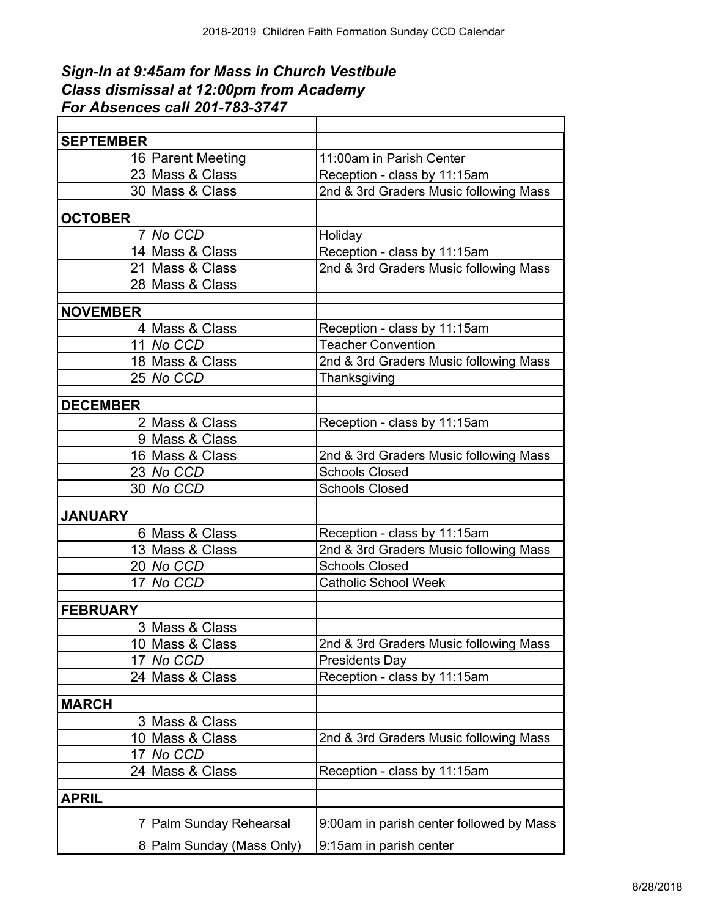## *Sign-In at 9:45am for Mass in Church Vestibule Class dismissal at 12:00pm from Academy For Absences call 201-783-3747*

| <b>SEPTEMBER</b> |                           |                                          |
|------------------|---------------------------|------------------------------------------|
|                  | 16 Parent Meeting         | 11:00am in Parish Center                 |
|                  | 23 Mass & Class           | Reception - class by 11:15am             |
|                  | 30 Mass & Class           | 2nd & 3rd Graders Music following Mass   |
|                  |                           |                                          |
| <b>OCTOBER</b>   |                           |                                          |
|                  | 7 No CCD                  | Holiday                                  |
|                  | 14 Mass & Class           | Reception - class by 11:15am             |
|                  | 21 Mass & Class           | 2nd & 3rd Graders Music following Mass   |
|                  | 28 Mass & Class           |                                          |
| <b>NOVEMBER</b>  |                           |                                          |
|                  | 4 Mass & Class            | Reception - class by 11:15am             |
|                  | $11$ No CCD               | <b>Teacher Convention</b>                |
|                  | 18 Mass & Class           | 2nd & 3rd Graders Music following Mass   |
|                  | 25 No CCD                 | Thanksgiving                             |
|                  |                           |                                          |
| <b>DECEMBER</b>  |                           |                                          |
|                  | 2 Mass & Class            | Reception - class by 11:15am             |
|                  | 9 Mass & Class            |                                          |
|                  | 16 Mass & Class           | 2nd & 3rd Graders Music following Mass   |
|                  | $23 No$ CCD               | <b>Schools Closed</b>                    |
|                  | 30 No CCD                 | <b>Schools Closed</b>                    |
|                  |                           |                                          |
| <b>JANUARY</b>   |                           |                                          |
|                  | 6 Mass & Class            | Reception - class by 11:15am             |
|                  | 13 Mass & Class           | 2nd & 3rd Graders Music following Mass   |
|                  | $20 No$ CCD               | <b>Schools Closed</b>                    |
|                  | 17 No CCD                 | <b>Catholic School Week</b>              |
| <b>FEBRUARY</b>  |                           |                                          |
|                  | 3 Mass & Class            |                                          |
|                  | 10 Mass & Class           | 2nd & 3rd Graders Music following Mass   |
|                  | 17 No CCD                 | <b>Presidents Day</b>                    |
|                  | 24 Mass & Class           | Reception - class by 11:15am             |
|                  |                           |                                          |
| <b>MARCH</b>     |                           |                                          |
|                  | 3 Mass & Class            |                                          |
|                  | 10 Mass & Class           | 2nd & 3rd Graders Music following Mass   |
| 171              | No CCD                    |                                          |
|                  | 24 Mass & Class           | Reception - class by 11:15am             |
|                  |                           |                                          |
| <b>APRIL</b>     |                           |                                          |
|                  | 7 Palm Sunday Rehearsal   | 9:00am in parish center followed by Mass |
|                  | 8 Palm Sunday (Mass Only) | 9:15am in parish center                  |